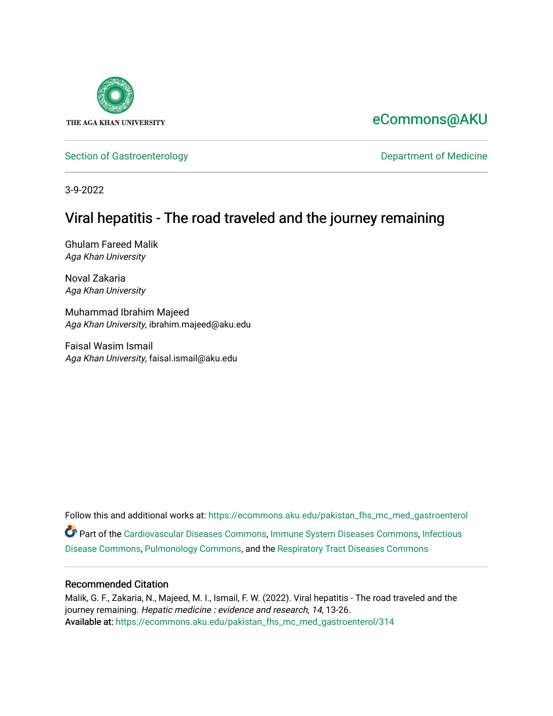

# [eCommons@AKU](https://ecommons.aku.edu/)

[Section of Gastroenterology](https://ecommons.aku.edu/pakistan_fhs_mc_med_gastroenterol) and a section of Medicine Department of Medicine

3-9-2022

# Viral hepatitis - The road traveled and the journey remaining

Ghulam Fareed Malik Aga Khan University

Noval Zakaria Aga Khan University

Muhammad Ibrahim Majeed Aga Khan University, ibrahim.majeed@aku.edu

Faisal Wasim Ismail Aga Khan University, faisal.ismail@aku.edu

Follow this and additional works at: [https://ecommons.aku.edu/pakistan\\_fhs\\_mc\\_med\\_gastroenterol](https://ecommons.aku.edu/pakistan_fhs_mc_med_gastroenterol?utm_source=ecommons.aku.edu%2Fpakistan_fhs_mc_med_gastroenterol%2F314&utm_medium=PDF&utm_campaign=PDFCoverPages) Part of the [Cardiovascular Diseases Commons](http://network.bepress.com/hgg/discipline/929?utm_source=ecommons.aku.edu%2Fpakistan_fhs_mc_med_gastroenterol%2F314&utm_medium=PDF&utm_campaign=PDFCoverPages), [Immune System Diseases Commons](http://network.bepress.com/hgg/discipline/933?utm_source=ecommons.aku.edu%2Fpakistan_fhs_mc_med_gastroenterol%2F314&utm_medium=PDF&utm_campaign=PDFCoverPages), [Infectious](http://network.bepress.com/hgg/discipline/689?utm_source=ecommons.aku.edu%2Fpakistan_fhs_mc_med_gastroenterol%2F314&utm_medium=PDF&utm_campaign=PDFCoverPages)  [Disease Commons,](http://network.bepress.com/hgg/discipline/689?utm_source=ecommons.aku.edu%2Fpakistan_fhs_mc_med_gastroenterol%2F314&utm_medium=PDF&utm_campaign=PDFCoverPages) [Pulmonology Commons](http://network.bepress.com/hgg/discipline/1363?utm_source=ecommons.aku.edu%2Fpakistan_fhs_mc_med_gastroenterol%2F314&utm_medium=PDF&utm_campaign=PDFCoverPages), and the [Respiratory Tract Diseases Commons](http://network.bepress.com/hgg/discipline/990?utm_source=ecommons.aku.edu%2Fpakistan_fhs_mc_med_gastroenterol%2F314&utm_medium=PDF&utm_campaign=PDFCoverPages) 

#### Recommended Citation

Malik, G. F., Zakaria, N., Majeed, M. I., Ismail, F. W. (2022). Viral hepatitis - The road traveled and the journey remaining. Hepatic medicine : evidence and research, 14, 13-26. Available at: [https://ecommons.aku.edu/pakistan\\_fhs\\_mc\\_med\\_gastroenterol/314](https://ecommons.aku.edu/pakistan_fhs_mc_med_gastroenterol/314)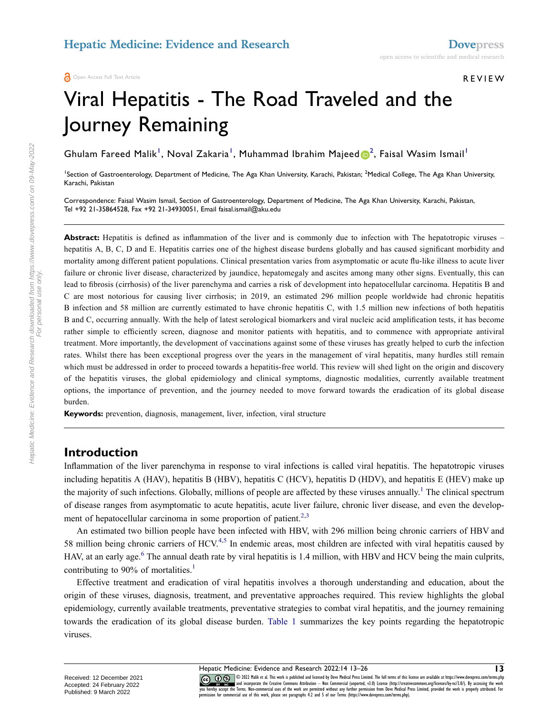#### **A** Open Access Full Text Article

# Viral Hepatitis - The Road Traveled and the Journey Remaining

Ghulam Fareed Malik<sup>[1](#page-1-0)</sup>, Noval Zakaria<sup>1</sup>, Muhamma[d](http://orcid.org/0000-0003-1274-873X) Ibrahim Majeed <mark>D</mark><sup>[2](#page-1-0)</sup>, Faisal Wasim Ismail<sup>1</sup>

<span id="page-1-0"></span><sup>1</sup>Section of Gastroenterology, Department of Medicine, The Aga Khan University, Karachi, Pakistan; <sup>2</sup>Medical College, The Aga Khan University, Karachi, Pakistan

Correspondence: Faisal Wasim Ismail, Section of Gastroenterology, Department of Medicine, The Aga Khan University, Karachi, Pakistan, Tel +92 21-35864528, Fax +92 21-34930051, Email faisal.ismail@aku.edu

Abstract: Hepatitis is defined as inflammation of the liver and is commonly due to infection with The hepatotropic viruses – hepatitis A, B, C, D and E. Hepatitis carries one of the highest disease burdens globally and has caused significant morbidity and mortality among different patient populations. Clinical presentation varies from asymptomatic or acute flu-like illness to acute liver failure or chronic liver disease, characterized by jaundice, hepatomegaly and ascites among many other signs. Eventually, this can lead to fibrosis (cirrhosis) of the liver parenchyma and carries a risk of development into hepatocellular carcinoma. Hepatitis B and C are most notorious for causing liver cirrhosis; in 2019, an estimated 296 million people worldwide had chronic hepatitis B infection and 58 million are currently estimated to have chronic hepatitis C, with 1.5 million new infections of both hepatitis B and C, occurring annually. With the help of latest serological biomarkers and viral nucleic acid amplification tests, it has become rather simple to efficiently screen, diagnose and monitor patients with hepatitis, and to commence with appropriate antiviral treatment. More importantly, the development of vaccinations against some of these viruses has greatly helped to curb the infection rates. Whilst there has been exceptional progress over the years in the management of viral hepatitis, many hurdles still remain which must be addressed in order to proceed towards a hepatitis-free world. This review will shed light on the origin and discovery of the hepatitis viruses, the global epidemiology and clinical symptoms, diagnostic modalities, currently available treatment options, the importance of prevention, and the journey needed to move forward towards the eradication of its global disease burden.

**Keywords:** prevention, diagnosis, management, liver, infection, viral structure

#### **Introduction**

Inflammation of the liver parenchyma in response to viral infections is called viral hepatitis. The hepatotropic viruses including hepatitis A (HAV), hepatitis B (HBV), hepatitis C (HCV), hepatitis D (HDV), and hepatitis E (HEV) make up the majority of such infections. Globally, millions of people are affected by these viruses annually.<sup>1</sup> The clinical spectrum of disease ranges from asymptomatic to acute hepatitis, acute liver failure, chronic liver disease, and even the develop-ment of hepatocellular carcinoma in some proportion of patient.<sup>2,[3](#page-11-2)</sup>

<span id="page-1-4"></span><span id="page-1-3"></span><span id="page-1-2"></span>An estimated two billion people have been infected with HBV, with 296 million being chronic carriers of HBV and 58 million being chronic carriers of HCV.<sup>[4](#page-11-3)[,5](#page-11-4)</sup> In endemic areas, most children are infected with viral hepatitis caused by HAV, at an early age.<sup>[6](#page-11-5)</sup> The annual death rate by viral hepatitis is 1.4 million, with HBV and HCV being the main culprits, contributing to 90% of mortalities.<sup>[1](#page-11-0)</sup>

<span id="page-1-1"></span>Effective treatment and eradication of viral hepatitis involves a thorough understanding and education, about the origin of these viruses, diagnosis, treatment, and preventative approaches required. This review highlights the global epidemiology, currently available treatments, preventative strategies to combat viral hepatitis, and the journey remaining towards the eradication of its global disease burden. [Table 1](#page-2-0) summarizes the key points regarding the hepatotropic viruses.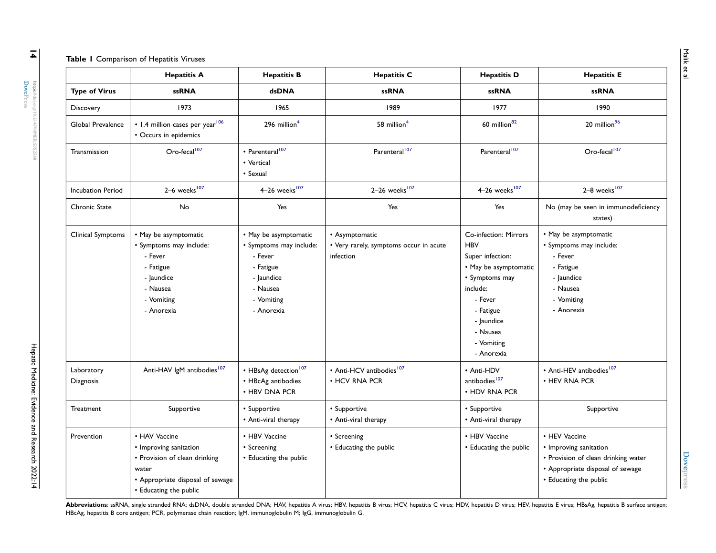#### <span id="page-2-4"></span><span id="page-2-2"></span><span id="page-2-0"></span>**Table 1** Comparison of Hepatitis Viruses

<span id="page-2-1"></span>

|                          | <b>Hepatitis A</b>                                                                                                                              | <b>Hepatitis B</b>                                                                                                             | <b>Hepatitis C</b>                                                    | <b>Hepatitis D</b>                                                                                                                                                                           | <b>Hepatitis E</b>                                                                                                                           |
|--------------------------|-------------------------------------------------------------------------------------------------------------------------------------------------|--------------------------------------------------------------------------------------------------------------------------------|-----------------------------------------------------------------------|----------------------------------------------------------------------------------------------------------------------------------------------------------------------------------------------|----------------------------------------------------------------------------------------------------------------------------------------------|
| <b>Type of Virus</b>     | <b>ssRNA</b>                                                                                                                                    | dsDNA                                                                                                                          | <b>ssRNA</b>                                                          | <b>ssRNA</b>                                                                                                                                                                                 | <b>ssRNA</b>                                                                                                                                 |
| Discovery                | 1973                                                                                                                                            | 1965                                                                                                                           | 1989                                                                  | 1977                                                                                                                                                                                         | 1990                                                                                                                                         |
| Global Prevalence        | • 1.4 million cases per year <sup>106</sup><br>• Occurs in epidemics                                                                            | 296 million <sup>4</sup>                                                                                                       | 58 million <sup>4</sup>                                               | 60 million <sup>82</sup>                                                                                                                                                                     | 20 million <sup>96</sup>                                                                                                                     |
| Transmission             | Oro-fecal <sup>107</sup>                                                                                                                        | • Parenteral <sup>107</sup><br>• Vertical<br>• Sexual                                                                          | Parenteral <sup>107</sup>                                             | Parenteral <sup>107</sup>                                                                                                                                                                    | Oro-fecal <sup>107</sup>                                                                                                                     |
| <b>Incubation Period</b> | $2-6$ weeks <sup>107</sup>                                                                                                                      | 4-26 weeks <sup>107</sup>                                                                                                      | 2-26 weeks <sup>107</sup>                                             | 4-26 weeks <sup>107</sup>                                                                                                                                                                    | $2-8$ weeks <sup>107</sup>                                                                                                                   |
| Chronic State            | No                                                                                                                                              | Yes                                                                                                                            | Yes                                                                   | Yes                                                                                                                                                                                          | No (may be seen in immunodeficiency<br>states)                                                                                               |
| Clinical Symptoms        | • May be asymptomatic<br>• Symptoms may include:<br>- Fever<br>- Fatigue<br>- laundice<br>- Nausea<br>- Vomiting<br>- Anorexia                  | • May be asymptomatic<br>· Symptoms may include:<br>- Fever<br>- Fatigue<br>- Jaundice<br>- Nausea<br>- Vomiting<br>- Anorexia | • Asymptomatic<br>• Very rarely, symptoms occur in acute<br>infection | Co-infection: Mirrors<br><b>HBV</b><br>Super infection:<br>• May be asymptomatic<br>• Symptoms may<br>include:<br>- Fever<br>- Fatigue<br>- Jaundice<br>- Nausea<br>- Vomiting<br>- Anorexia | • May be asymptomatic<br>· Symptoms may include:<br>- Fever<br>- Fatigue<br>- Jaundice<br>- Nausea<br>- Vomiting<br>- Anorexia               |
| Laboratory<br>Diagnosis  | Anti-HAV IgM antibodies <sup>107</sup>                                                                                                          | • HBsAg detection <sup>107</sup><br>• HBcAg antibodies<br>• HBV DNA PCR                                                        | • Anti-HCV antibodies <sup>107</sup><br>• HCV RNA PCR                 | • Anti-HDV<br>antibodies <sup>107</sup><br>• HDV RNA PCR                                                                                                                                     | • Anti-HEV antibodies <sup>107</sup><br>• HEV RNA PCR                                                                                        |
| Treatment                | Supportive                                                                                                                                      | • Supportive<br>• Anti-viral therapy                                                                                           | • Supportive<br>• Anti-viral therapy                                  | • Supportive<br>• Anti-viral therapy                                                                                                                                                         | Supportive                                                                                                                                   |
| Prevention               | • HAV Vaccine<br>• Improving sanitation<br>• Provision of clean drinking<br>water<br>• Appropriate disposal of sewage<br>• Educating the public | • HBV Vaccine<br>• Screening<br>• Educating the public                                                                         | • Screening<br>• Educating the public                                 | • HBV Vaccine<br>• Educating the public                                                                                                                                                      | • HEV Vaccine<br>• Improving sanitation<br>• Provision of clean drinking water<br>• Appropriate disposal of sewage<br>• Educating the public |

<span id="page-2-3"></span>Abbreviations: ssRNA, single stranded RNA; dsDNA, double stranded DNA; HAV, hepatitis A virus; HBV, hepatitis B virus; HCV, hepatitis C virus; HDV, hepatitis D virus; HEV, hepatitis E virus; HBSAg, hepatitis B surface anti HBcAg, hepatitis B core antigen; PCR, polymerase chain reaction; IgM, immunoglobulin M; IgG, immunoglobulin G.

**[Dovepress](https://www.dovepress.com)**

**Dovepress** 

 $\overline{4}$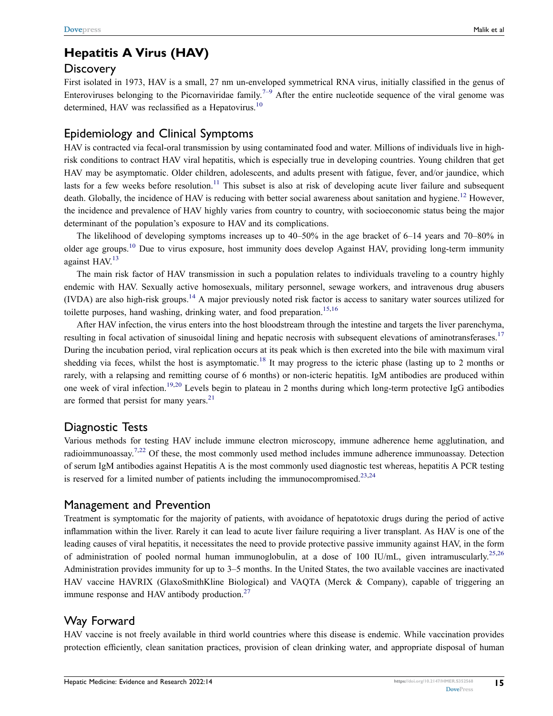# **Hepatitis A Virus (HAV)**

### **Discovery**

First isolated in 1973, HAV is a small, 27 nm un-enveloped symmetrical RNA virus, initially classified in the genus of Enteroviruses belonging to the Picornaviridae family.<sup>[7–](#page-11-7)[9](#page-11-8)</sup> After the entire nucleotide sequence of the viral genome was determined. HAV was reclassified as a Hepatovirus.<sup>10</sup>

### Epidemiology and Clinical Symptoms

<span id="page-3-2"></span>HAV is contracted via fecal-oral transmission by using contaminated food and water. Millions of individuals live in highrisk conditions to contract HAV viral hepatitis, which is especially true in developing countries. Young children that get HAV may be asymptomatic. Older children, adolescents, and adults present with fatigue, fever, and/or jaundice, which lasts for a few weeks before resolution.<sup>[11](#page-11-10)</sup> This subset is also at risk of developing acute liver failure and subsequent death. Globally, the incidence of HAV is reducing with better social awareness about sanitation and hygiene.<sup>[12](#page-11-11)</sup> However, the incidence and prevalence of HAV highly varies from country to country, with socioeconomic status being the major determinant of the population's exposure to HAV and its complications.

<span id="page-3-3"></span><span id="page-3-1"></span>The likelihood of developing symptoms increases up to 40–50% in the age bracket of 6–14 years and 70–80% in older age groups.<sup>[10](#page-11-9)</sup> Due to virus exposure, host immunity does develop Against HAV, providing long-term immunity against  $HAV<sup>13</sup>$ 

<span id="page-3-5"></span><span id="page-3-4"></span>The main risk factor of HAV transmission in such a population relates to individuals traveling to a country highly endemic with HAV. Sexually active homosexuals, military personnel, sewage workers, and intravenous drug abusers (IVDA) are also high-risk groups.<sup>14</sup> A major previously noted risk factor is access to sanitary water sources utilized for toilette purposes, hand washing, drinking water, and food preparation.<sup>[15](#page-11-14),[16](#page-11-15)</sup>

<span id="page-3-8"></span><span id="page-3-7"></span><span id="page-3-6"></span>After HAV infection, the virus enters into the host bloodstream through the intestine and targets the liver parenchyma, resulting in focal activation of sinusoidal lining and hepatic necrosis with subsequent elevations of aminotransferases.<sup>[17](#page-11-16)</sup> During the incubation period, viral replication occurs at its peak which is then excreted into the bile with maximum viral shedding via feces, whilst the host is asymptomatic.<sup>[18](#page-11-17)</sup> It may progress to the icteric phase (lasting up to 2 months or rarely, with a relapsing and remitting course of 6 months) or non-icteric hepatitis. IgM antibodies are produced within one week of viral infection.<sup>19,[20](#page-11-19)</sup> Levels begin to plateau in 2 months during which long-term protective IgG antibodies are formed that persist for many years. $21$ 

### <span id="page-3-10"></span><span id="page-3-9"></span>Diagnostic Tests

<span id="page-3-0"></span>Various methods for testing HAV include immune electron microscopy, immune adherence heme agglutination, and radioimmunoassay.<sup>7[,22](#page-11-21)</sup> Of these, the most commonly used method includes immune adherence immunoassay. Detection of serum IgM antibodies against Hepatitis A is the most commonly used diagnostic test whereas, hepatitis A PCR testing is reserved for a limited number of patients including the immunocompromised.<sup>[23,](#page-11-22)[24](#page-11-23)</sup>

### <span id="page-3-11"></span>Management and Prevention

<span id="page-3-12"></span>Treatment is symptomatic for the majority of patients, with avoidance of hepatotoxic drugs during the period of active inflammation within the liver. Rarely it can lead to acute liver failure requiring a liver transplant. As HAV is one of the leading causes of viral hepatitis, it necessitates the need to provide protective passive immunity against HAV, in the form of administration of pooled normal human immunoglobulin, at a dose of 100 IU/mL, given intramuscularly.[25](#page-11-24),[26](#page-11-25) Administration provides immunity for up to 3–5 months. In the United States, the two available vaccines are inactivated HAV vaccine HAVRIX (GlaxoSmithKline Biological) and VAQTA (Merck & Company), capable of triggering an immune response and HAV antibody production.<sup>[27](#page-11-26)</sup>

### <span id="page-3-13"></span>Way Forward

HAV vaccine is not freely available in third world countries where this disease is endemic. While vaccination provides protection efficiently, clean sanitation practices, provision of clean drinking water, and appropriate disposal of human

**15**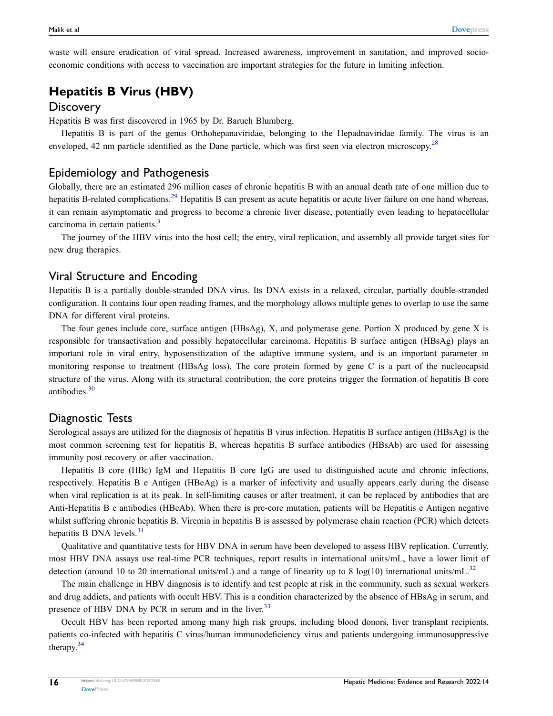waste will ensure eradication of viral spread. Increased awareness, improvement in sanitation, and improved socioeconomic conditions with access to vaccination are important strategies for the future in limiting infection.

## **Hepatitis B Virus (HBV)**

#### **Discovery**

Hepatitis B was first discovered in 1965 by Dr. Baruch Blumberg.

<span id="page-4-0"></span>Hepatitis B is part of the genus Orthohepanaviridae, belonging to the Hepadnaviridae family. The virus is an enveloped, 42 nm particle identified as the Dane particle, which was first seen via electron microscopy.<sup>[28](#page-11-27)</sup>

### Epidemiology and Pathogenesis

<span id="page-4-1"></span>Globally, there are an estimated 296 million cases of chronic hepatitis B with an annual death rate of one million due to hepatitis B-related complications.<sup>29</sup> Hepatitis B can present as acute hepatitis or acute liver failure on one hand whereas, it can remain asymptomatic and progress to become a chronic liver disease, potentially even leading to hepatocellular carcinoma in certain patients.<sup>3</sup>

The journey of the HBV virus into the host cell; the entry, viral replication, and assembly all provide target sites for new drug therapies.

### Viral Structure and Encoding

Hepatitis B is a partially double-stranded DNA virus. Its DNA exists in a relaxed, circular, partially double-stranded configuration. It contains four open reading frames, and the morphology allows multiple genes to overlap to use the same DNA for different viral proteins.

The four genes include core, surface antigen (HBsAg), X, and polymerase gene. Portion X produced by gene X is responsible for transactivation and possibly hepatocellular carcinoma. Hepatitis B surface antigen (HBsAg) plays an important role in viral entry, hyposensitization of the adaptive immune system, and is an important parameter in monitoring response to treatment (HBsAg loss). The core protein formed by gene C is a part of the nucleocapsid structure of the virus. Along with its structural contribution, the core proteins trigger the formation of hepatitis B core antibodies.[30](#page-12-1)

### <span id="page-4-2"></span>Diagnostic Tests

Serological assays are utilized for the diagnosis of hepatitis B virus infection. Hepatitis B surface antigen (HBsAg) is the most common screening test for hepatitis B, whereas hepatitis B surface antibodies (HBsAb) are used for assessing immunity post recovery or after vaccination.

Hepatitis B core (HBc) IgM and Hepatitis B core IgG are used to distinguished acute and chronic infections, respectively. Hepatitis B e Antigen (HBeAg) is a marker of infectivity and usually appears early during the disease when viral replication is at its peak. In self-limiting causes or after treatment, it can be replaced by antibodies that are Anti-Hepatitis B e antibodies (HBeAb). When there is pre-core mutation, patients will be Hepatitis e Antigen negative whilst suffering chronic hepatitis B. Viremia in hepatitis B is assessed by polymerase chain reaction (PCR) which detects hepatitis B DNA levels.<sup>[31](#page-12-2)</sup>

<span id="page-4-3"></span>Qualitative and quantitative tests for HBV DNA in serum have been developed to assess HBV replication. Currently, most HBV DNA assays use real-time PCR techniques, report results in international units/mL, have a lower limit of detection (around 10 to 20 international units/mL) and a range of linearity up to 8 log(10) international units/mL.<sup>[32](#page-12-3)</sup>

<span id="page-4-4"></span>The main challenge in HBV diagnosis is to identify and test people at risk in the community, such as sexual workers and drug addicts, and patients with occult HBV. This is a condition characterized by the absence of HBsAg in serum, and presence of HBV DNA by PCR in serum and in the liver.<sup>[33](#page-12-4)</sup>

<span id="page-4-6"></span><span id="page-4-5"></span>Occult HBV has been reported among many high risk groups, including blood donors, liver transplant recipients, patients co-infected with hepatitis C virus/human immunodeficiency virus and patients undergoing immunosuppressive therapy.[34](#page-12-5)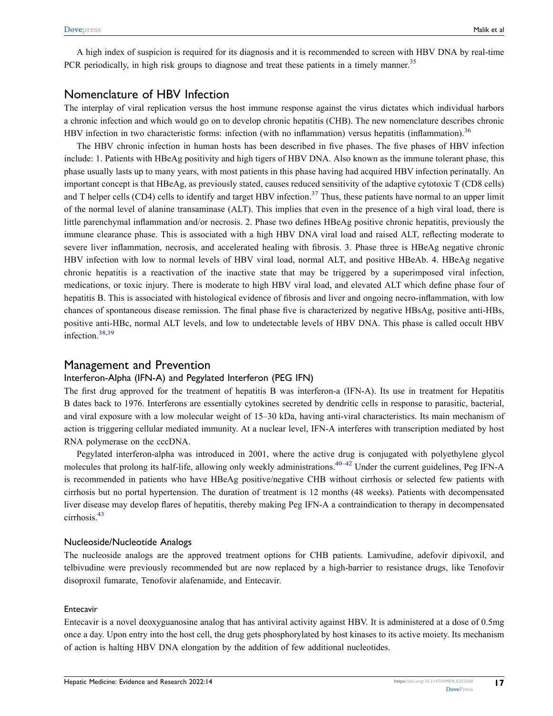<span id="page-5-0"></span>A high index of suspicion is required for its diagnosis and it is recommended to screen with HBV DNA by real-time PCR periodically, in high risk groups to diagnose and treat these patients in a timely manner.<sup>[35](#page-12-6)</sup>

### Nomenclature of HBV Infection

The interplay of viral replication versus the host immune response against the virus dictates which individual harbors a chronic infection and which would go on to develop chronic hepatitis (CHB). The new nomenclature describes chronic HBV infection in two characteristic forms: infection (with no inflammation) versus hepatitis (inflammation).<sup>36</sup>

<span id="page-5-2"></span><span id="page-5-1"></span>The HBV chronic infection in human hosts has been described in five phases. The five phases of HBV infection include: 1. Patients with HBeAg positivity and high tigers of HBV DNA. Also known as the immune tolerant phase, this phase usually lasts up to many years, with most patients in this phase having had acquired HBV infection perinatally. An important concept is that HBeAg, as previously stated, causes reduced sensitivity of the adaptive cytotoxic T (CD8 cells) and T helper cells (CD4) cells to identify and target HBV infection.<sup>[37](#page-12-8)</sup> Thus, these patients have normal to an upper limit of the normal level of alanine transaminase (ALT). This implies that even in the presence of a high viral load, there is little parenchymal inflammation and/or necrosis. 2. Phase two defines HBeAg positive chronic hepatitis, previously the immune clearance phase. This is associated with a high HBV DNA viral load and raised ALT, reflecting moderate to severe liver inflammation, necrosis, and accelerated healing with fibrosis. 3. Phase three is HBeAg negative chronic HBV infection with low to normal levels of HBV viral load, normal ALT, and positive HBeAb. 4. HBeAg negative chronic hepatitis is a reactivation of the inactive state that may be triggered by a superimposed viral infection, medications, or toxic injury. There is moderate to high HBV viral load, and elevated ALT which define phase four of hepatitis B. This is associated with histological evidence of fibrosis and liver and ongoing necro-inflammation, with low chances of spontaneous disease remission. The final phase five is characterized by negative HBsAg, positive anti-HBs, positive anti-HBc, normal ALT levels, and low to undetectable levels of HBV DNA. This phase is called occult HBV infection.<sup>[38,](#page-12-9)[39](#page-12-10)</sup>

#### <span id="page-5-3"></span>Management and Prevention

#### Interferon-Alpha (IFN-A) and Pegylated Interferon (PEG IFN)

The first drug approved for the treatment of hepatitis B was interferon-a (IFN-A). Its use in treatment for Hepatitis B dates back to 1976. Interferons are essentially cytokines secreted by dendritic cells in response to parasitic, bacterial, and viral exposure with a low molecular weight of 15–30 kDa, having anti-viral characteristics. Its main mechanism of action is triggering cellular mediated immunity. At a nuclear level, IFN-A interferes with transcription mediated by host RNA polymerase on the cccDNA.

<span id="page-5-4"></span>Pegylated interferon-alpha was introduced in 2001, where the active drug is conjugated with polyethylene glycol molecules that prolong its half-life, allowing only weekly administrations.<sup>40–[42](#page-12-12)</sup> Under the current guidelines, Peg IFN-A is recommended in patients who have HBeAg positive/negative CHB without cirrhosis or selected few patients with cirrhosis but no portal hypertension. The duration of treatment is 12 months (48 weeks). Patients with decompensated liver disease may develop flares of hepatitis, thereby making Peg IFN-A a contraindication to therapy in decompensated cirrhosis.[43](#page-12-13)

#### <span id="page-5-5"></span>Nucleoside/Nucleotide Analogs

The nucleoside analogs are the approved treatment options for CHB patients. Lamivudine, adefovir dipivoxil, and telbivudine were previously recommended but are now replaced by a high-barrier to resistance drugs, like Tenofovir disoproxil fumarate, Tenofovir alafenamide, and Entecavir.

#### Entecavir

Entecavir is a novel deoxyguanosine analog that has antiviral activity against HBV. It is administered at a dose of 0.5mg once a day. Upon entry into the host cell, the drug gets phosphorylated by host kinases to its active moiety. Its mechanism of action is halting HBV DNA elongation by the addition of few additional nucleotides.

**17**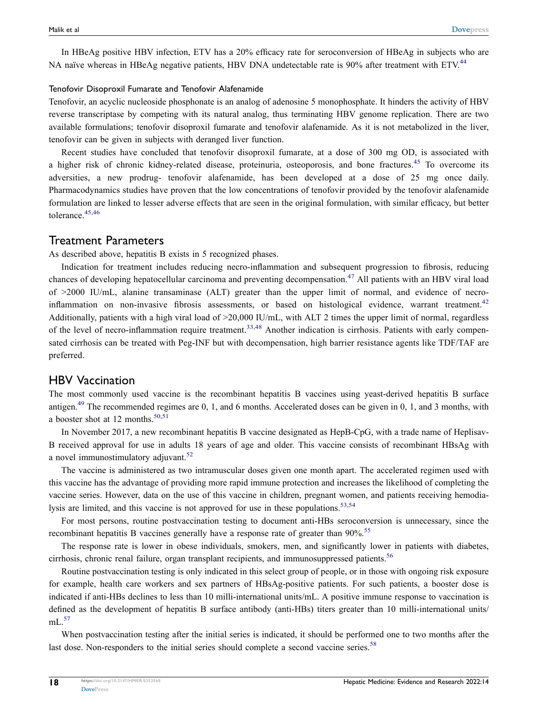<span id="page-6-1"></span>In HBeAg positive HBV infection, ETV has a 20% efficacy rate for seroconversion of HBeAg in subjects who are NA naïve whereas in HBeAg negative patients, HBV DNA undetectable rate is 90% after treatment with ETV.<sup>44</sup>

#### Tenofovir Disoproxil Fumarate and Tenofovir Alafenamide

Tenofovir, an acyclic nucleoside phosphonate is an analog of adenosine 5 monophosphate. It hinders the activity of HBV reverse transcriptase by competing with its natural analog, thus terminating HBV genome replication. There are two available formulations; tenofovir disoproxil fumarate and tenofovir alafenamide. As it is not metabolized in the liver, tenofovir can be given in subjects with deranged liver function.

Recent studies have concluded that tenofovir disoproxil fumarate, at a dose of 300 mg OD, is associated with a higher risk of chronic kidney-related disease, proteinuria, osteoporosis, and bone fractures.<sup>[45](#page-12-15)</sup> To overcome its adversities, a new prodrug- tenofovir alafenamide, has been developed at a dose of 25 mg once daily. Pharmacodynamics studies have proven that the low concentrations of tenofovir provided by the tenofovir alafenamide formulation are linked to lesser adverse effects that are seen in the original formulation, with similar efficacy, but better tolerance.[45](#page-12-15),[46](#page-12-16)

#### <span id="page-6-2"></span>Treatment Parameters

As described above, hepatitis B exists in 5 recognized phases.

<span id="page-6-3"></span><span id="page-6-0"></span>Indication for treatment includes reducing necro-inflammation and subsequent progression to fibrosis, reducing chances of developing hepatocellular carcinoma and preventing decompensation.<sup>[47](#page-12-17)</sup> All patients with an HBV viral load of >2000 IU/mL, alanine transaminase (ALT) greater than the upper limit of normal, and evidence of necro-inflammation on non-invasive fibrosis assessments, or based on histological evidence, warrant treatment.<sup>[42](#page-12-12)</sup> Additionally, patients with a high viral load of >20,000 IU/mL, with ALT 2 times the upper limit of normal, regardless of the level of necro-inflammation require treatment.<sup>[33,](#page-12-4)[48](#page-12-18)</sup> Another indication is cirrhosis. Patients with early compensated cirrhosis can be treated with Peg-INF but with decompensation, high barrier resistance agents like TDF/TAF are preferred.

### <span id="page-6-4"></span>HBV Vaccination

<span id="page-6-5"></span>The most commonly used vaccine is the recombinant hepatitis B vaccines using yeast-derived hepatitis B surface antigen.<sup>[49](#page-12-19)</sup> The recommended regimes are 0, 1, and 6 months. Accelerated doses can be given in 0, 1, and 3 months, with a booster shot at 12 months. $50,51$  $50,51$ 

<span id="page-6-6"></span>In November 2017, a new recombinant hepatitis B vaccine designated as HepB-CpG, with a trade name of Heplisav-B received approval for use in adults 18 years of age and older. This vaccine consists of recombinant HBsAg with a novel immunostimulatory adjuvant.<sup>52</sup>

<span id="page-6-7"></span>The vaccine is administered as two intramuscular doses given one month apart. The accelerated regimen used with this vaccine has the advantage of providing more rapid immune protection and increases the likelihood of completing the vaccine series. However, data on the use of this vaccine in children, pregnant women, and patients receiving hemodia-lysis are limited, and this vaccine is not approved for use in these populations.<sup>[53](#page-12-23)[,54](#page-12-24)</sup>

<span id="page-6-9"></span><span id="page-6-8"></span>For most persons, routine postvaccination testing to document anti-HBs seroconversion is unnecessary, since the recombinant hepatitis B vaccines generally have a response rate of greater than 90%.[55](#page-12-25)

<span id="page-6-10"></span>The response rate is lower in obese individuals, smokers, men, and significantly lower in patients with diabetes, cirrhosis, chronic renal failure, organ transplant recipients, and immunosuppressed patients.<sup>[56](#page-12-26)</sup>

Routine postvaccination testing is only indicated in this select group of people, or in those with ongoing risk exposure for example, health care workers and sex partners of HBsAg-positive patients. For such patients, a booster dose is indicated if anti-HBs declines to less than 10 milli-international units/mL. A positive immune response to vaccination is defined as the development of hepatitis B surface antibody (anti-HBs) titers greater than 10 milli-international units/  $mL<sup>57</sup>$ 

<span id="page-6-12"></span><span id="page-6-11"></span>When postvaccination testing after the initial series is indicated, it should be performed one to two months after the last dose. Non-responders to the initial series should complete a second vaccine series.<sup>[58](#page-12-28)</sup>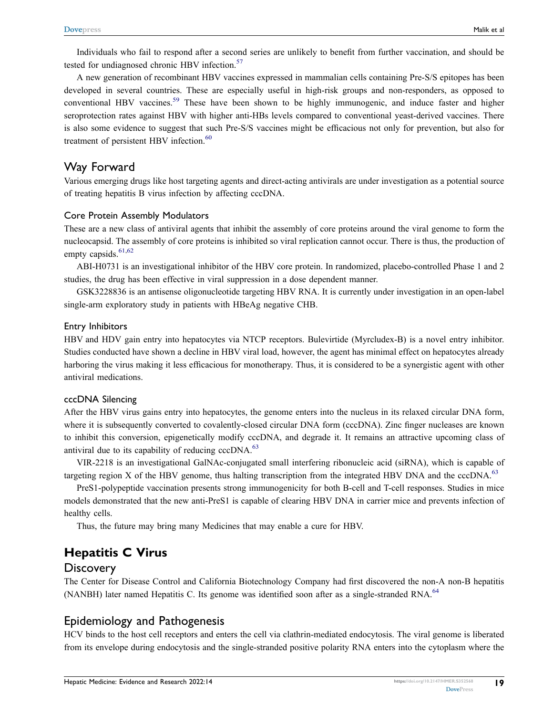Individuals who fail to respond after a second series are unlikely to benefit from further vaccination, and should be tested for undiagnosed chronic HBV infection.<sup>[57](#page-12-27)</sup>

<span id="page-7-0"></span>A new generation of recombinant HBV vaccines expressed in mammalian cells containing Pre-S/S epitopes has been developed in several countries. These are especially useful in high-risk groups and non-responders, as opposed to conventional HBV vaccines.<sup>[59](#page-12-29)</sup> These have been shown to be highly immunogenic, and induce faster and higher seroprotection rates against HBV with higher anti-HBs levels compared to conventional yeast-derived vaccines. There is also some evidence to suggest that such Pre-S/S vaccines might be efficacious not only for prevention, but also for treatment of persistent HBV infection.<sup>60</sup>

### <span id="page-7-1"></span>Way Forward

Various emerging drugs like host targeting agents and direct-acting antivirals are under investigation as a potential source of treating hepatitis B virus infection by affecting cccDNA.

#### Core Protein Assembly Modulators

These are a new class of antiviral agents that inhibit the assembly of core proteins around the viral genome to form the nucleocapsid. The assembly of core proteins is inhibited so viral replication cannot occur. There is thus, the production of empty capsids. $61,62$  $61,62$ 

<span id="page-7-2"></span>ABI-H0731 is an investigational inhibitor of the HBV core protein. In randomized, placebo-controlled Phase 1 and 2 studies, the drug has been effective in viral suppression in a dose dependent manner.

GSK3228836 is an antisense oligonucleotide targeting HBV RNA. It is currently under investigation in an open-label single-arm exploratory study in patients with HBeAg negative CHB.

#### Entry Inhibitors

HBV and HDV gain entry into hepatocytes via NTCP receptors. Bulevirtide (Myrcludex-B) is a novel entry inhibitor. Studies conducted have shown a decline in HBV viral load, however, the agent has minimal effect on hepatocytes already harboring the virus making it less efficacious for monotherapy. Thus, it is considered to be a synergistic agent with other antiviral medications.

#### cccDNA Silencing

After the HBV virus gains entry into hepatocytes, the genome enters into the nucleus in its relaxed circular DNA form, where it is subsequently converted to covalently-closed circular DNA form (cccDNA). Zinc finger nucleases are known to inhibit this conversion, epigenetically modify cccDNA, and degrade it. It remains an attractive upcoming class of antiviral due to its capability of reducing cccDNA.<sup>[63](#page-12-33)</sup>

<span id="page-7-3"></span>VIR-2218 is an investigational GalNAc-conjugated small interfering ribonucleic acid (siRNA), which is capable of targeting region X of the HBV genome, thus halting transcription from the integrated HBV DNA and the  $ccDNA$ .<sup>[63](#page-12-33)</sup>

PreS1-polypeptide vaccination presents strong immunogenicity for both B-cell and T-cell responses. Studies in mice models demonstrated that the new anti-PreS1 is capable of clearing HBV DNA in carrier mice and prevents infection of healthy cells.

Thus, the future may bring many Medicines that may enable a cure for HBV.

### **Hepatitis C Virus**

#### **Discovery**

<span id="page-7-4"></span>The Center for Disease Control and California Biotechnology Company had first discovered the non-A non-B hepatitis (NANBH) later named Hepatitis C. Its genome was identified soon after as a single-stranded RNA.<sup>[64](#page-13-2)</sup>

### Epidemiology and Pathogenesis

HCV binds to the host cell receptors and enters the cell via clathrin-mediated endocytosis. The viral genome is liberated from its envelope during endocytosis and the single-stranded positive polarity RNA enters into the cytoplasm where the

**19**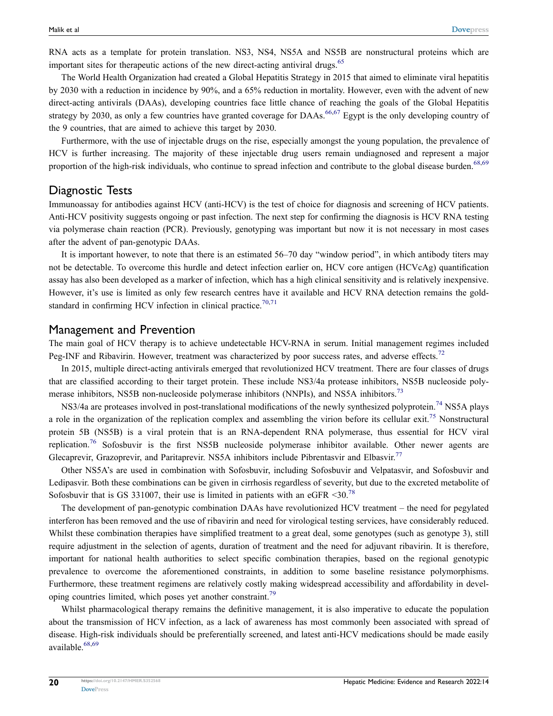<span id="page-8-0"></span>RNA acts as a template for protein translation. NS3, NS4, NS5A and NS5B are nonstructural proteins which are important sites for therapeutic actions of the new direct-acting antiviral drugs.<sup>[65](#page-13-3)</sup>

The World Health Organization had created a Global Hepatitis Strategy in 2015 that aimed to eliminate viral hepatitis by 2030 with a reduction in incidence by 90%, and a 65% reduction in mortality. However, even with the advent of new direct-acting antivirals (DAAs), developing countries face little chance of reaching the goals of the Global Hepatitis strategy by 2030, as only a few countries have granted coverage for DAAs.<sup>[66,](#page-13-4)[67](#page-13-5)</sup> Egypt is the only developing country of the 9 countries, that are aimed to achieve this target by 2030.

<span id="page-8-1"></span>Furthermore, with the use of injectable drugs on the rise, especially amongst the young population, the prevalence of HCV is further increasing. The majority of these injectable drug users remain undiagnosed and represent a major proportion of the high-risk individuals, who continue to spread infection and contribute to the global disease burden.<sup>[68](#page-13-6),[69](#page-13-7)</sup>

#### Diagnostic Tests

Immunoassay for antibodies against HCV (anti-HCV) is the test of choice for diagnosis and screening of HCV patients. Anti-HCV positivity suggests ongoing or past infection. The next step for confirming the diagnosis is HCV RNA testing via polymerase chain reaction (PCR). Previously, genotyping was important but now it is not necessary in most cases after the advent of pan-genotypic DAAs.

It is important however, to note that there is an estimated 56–70 day "window period", in which antibody titers may not be detectable. To overcome this hurdle and detect infection earlier on, HCV core antigen (HCVcAg) quantification assay has also been developed as a marker of infection, which has a high clinical sensitivity and is relatively inexpensive. However, it's use is limited as only few research centres have it available and HCV RNA detection remains the gold-standard in confirming HCV infection in clinical practice.<sup>70,[71](#page-13-9)</sup>

#### <span id="page-8-3"></span>Management and Prevention

<span id="page-8-4"></span>The main goal of HCV therapy is to achieve undetectable HCV-RNA in serum. Initial management regimes included Peg-INF and Ribavirin. However, treatment was characterized by poor success rates, and adverse effects.<sup>72</sup>

In 2015, multiple direct-acting antivirals emerged that revolutionized HCV treatment. There are four classes of drugs that are classified according to their target protein. These include NS3/4a protease inhibitors, NS5B nucleoside polymerase inhibitors, NS5B non-nucleoside polymerase inhibitors (NNPIs), and NS5A inhibitors.<sup>73</sup>

<span id="page-8-7"></span><span id="page-8-6"></span><span id="page-8-5"></span>NS3/4a are proteases involved in post-translational modifications of the newly synthesized polyprotein.<sup>[74](#page-13-12)</sup> NS5A plays a role in the organization of the replication complex and assembling the virion before its cellular exit.<sup>75</sup> Nonstructural protein 5B (NS5B) is a viral protein that is an RNA-dependent RNA polymerase, thus essential for HCV viral replication[.76](#page-13-14) Sofosbuvir is the first NS5B nucleoside polymerase inhibitor available. Other newer agents are Glecaprevir, Grazoprevir, and Paritaprevir. NS5A inhibitors include Pibrentasvir and Elbasvir.<sup>77</sup>

<span id="page-8-9"></span><span id="page-8-8"></span>Other NS5A's are used in combination with Sofosbuvir, including Sofosbuvir and Velpatasvir, and Sofosbuvir and Ledipasvir. Both these combinations can be given in cirrhosis regardless of severity, but due to the excreted metabolite of Sofosbuvir that is GS 331007, their use is limited in patients with an eGFR  $\leq 30$ .<sup>[78](#page-13-16)</sup>

<span id="page-8-10"></span>The development of pan-genotypic combination DAAs have revolutionized HCV treatment – the need for pegylated interferon has been removed and the use of ribavirin and need for virological testing services, have considerably reduced. Whilst these combination therapies have simplified treatment to a great deal, some genotypes (such as genotype 3), still require adjustment in the selection of agents, duration of treatment and the need for adjuvant ribavirin. It is therefore, important for national health authorities to select specific combination therapies, based on the regional genotypic prevalence to overcome the aforementioned constraints, in addition to some baseline resistance polymorphisms. Furthermore, these treatment regimens are relatively costly making widespread accessibility and affordability in developing countries limited, which poses yet another constraint.<sup>79</sup>

<span id="page-8-11"></span><span id="page-8-2"></span>Whilst pharmacological therapy remains the definitive management, it is also imperative to educate the population about the transmission of HCV infection, as a lack of awareness has most commonly been associated with spread of disease. High-risk individuals should be preferentially screened, and latest anti-HCV medications should be made easily available.<sup>[68](#page-13-6),[69](#page-13-7)</sup>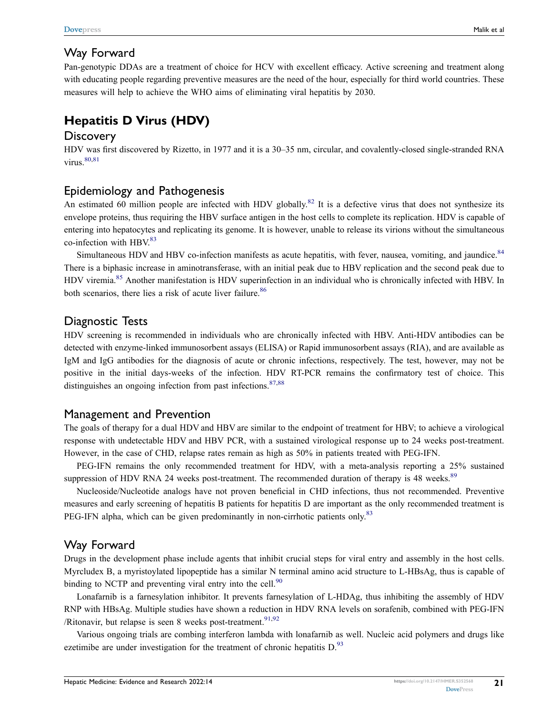### Way Forward

Pan-genotypic DDAs are a treatment of choice for HCV with excellent efficacy. Active screening and treatment along with educating people regarding preventive measures are the need of the hour, especially for third world countries. These measures will help to achieve the WHO aims of eliminating viral hepatitis by 2030.

# **Hepatitis D Virus (HDV)**

### **Discovery**

<span id="page-9-0"></span>HDV was first discovered by Rizetto, in 1977 and it is a 30–35 nm, circular, and covalently-closed single-stranded RNA virus. $80,81$  $80,81$ 

### Epidemiology and Pathogenesis

An estimated 60 million people are infected with HDV globally.<sup>[82](#page-13-20)</sup> It is a defective virus that does not synthesize its envelope proteins, thus requiring the HBV surface antigen in the host cells to complete its replication. HDV is capable of entering into hepatocytes and replicating its genome. It is however, unable to release its virions without the simultaneous co-infection with  $HBV<sup>83</sup>$ 

<span id="page-9-3"></span><span id="page-9-2"></span>Simultaneous HDV and HBV co-infection manifests as acute hepatitis, with fever, nausea, vomiting, and jaundice.<sup>[84](#page-13-22)</sup> There is a biphasic increase in aminotransferase, with an initial peak due to HBV replication and the second peak due to HDV viremia.[85](#page-13-23) Another manifestation is HDV superinfection in an individual who is chronically infected with HBV. In both scenarios, there lies a risk of acute liver failure.<sup>[86](#page-13-24)</sup>

### <span id="page-9-4"></span>Diagnostic Tests

HDV screening is recommended in individuals who are chronically infected with HBV. Anti-HDV antibodies can be detected with enzyme-linked immunosorbent assays (ELISA) or Rapid immunosorbent assays (RIA), and are available as IgM and IgG antibodies for the diagnosis of acute or chronic infections, respectively. The test, however, may not be positive in the initial days-weeks of the infection. HDV RT-PCR remains the confirmatory test of choice. This distinguishes an ongoing infection from past infections.  $87,88$  $87,88$ 

### <span id="page-9-5"></span>Management and Prevention

The goals of therapy for a dual HDV and HBV are similar to the endpoint of treatment for HBV; to achieve a virological response with undetectable HDV and HBV PCR, with a sustained virological response up to 24 weeks post-treatment. However, in the case of CHD, relapse rates remain as high as 50% in patients treated with PEG-IFN.

<span id="page-9-6"></span>PEG-IFN remains the only recommended treatment for HDV, with a meta-analysis reporting a 25% sustained suppression of HDV RNA 24 weeks post-treatment. The recommended duration of therapy is 48 weeks.<sup>[89](#page-13-27)</sup>

<span id="page-9-1"></span>Nucleoside/Nucleotide analogs have not proven beneficial in CHD infections, thus not recommended. Preventive measures and early screening of hepatitis B patients for hepatitis D are important as the only recommended treatment is PEG-IFN alpha, which can be given predominantly in non-cirrhotic patients only.<sup>[83](#page-13-21)</sup>

### Way Forward

Drugs in the development phase include agents that inhibit crucial steps for viral entry and assembly in the host cells. Myrcludex B, a myristoylated lipopeptide has a similar N terminal amino acid structure to L-HBsAg, thus is capable of binding to NCTP and preventing viral entry into the cell.<sup>90</sup>

<span id="page-9-7"></span>Lonafarnib is a farnesylation inhibitor. It prevents farnesylation of L-HDAg, thus inhibiting the assembly of HDV RNP with HBsAg. Multiple studies have shown a reduction in HDV RNA levels on sorafenib, combined with PEG-IFN /Ritonavir, but relapse is seen 8 weeks post-treatment.<sup>[91](#page-13-29),[92](#page-13-30)</sup>

<span id="page-9-9"></span><span id="page-9-8"></span>Various ongoing trials are combing interferon lambda with lonafarnib as well. Nucleic acid polymers and drugs like ezetimibe are under investigation for the treatment of chronic hepatitis  $D<sup>93</sup>$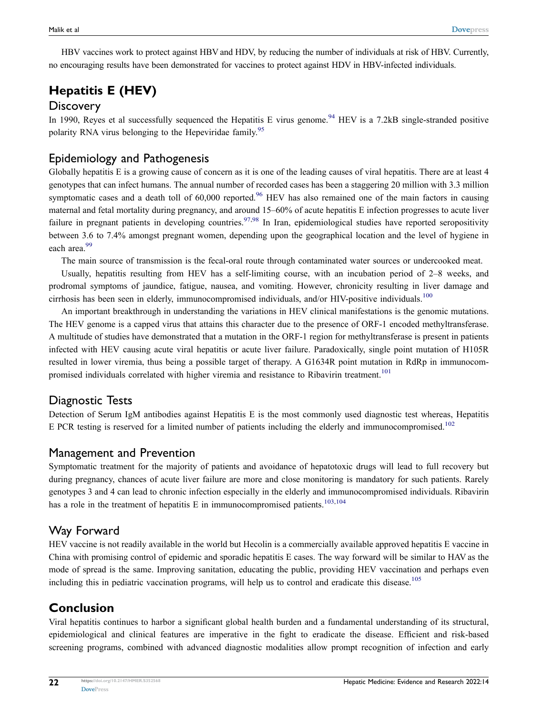HBV vaccines work to protect against HBV and HDV, by reducing the number of individuals at risk of HBV. Currently, no encouraging results have been demonstrated for vaccines to protect against HDV in HBV-infected individuals.

# **Hepatitis E (HEV)**

### **Discovery**

<span id="page-10-1"></span><span id="page-10-0"></span>In 1990, Reyes et al successfully sequenced the Hepatitis E virus genome.<sup>[94](#page-13-32)</sup> HEV is a 7.2kB single-stranded positive polarity RNA virus belonging to the Hepeviridae family.<sup>[95](#page-13-33)</sup>

### Epidemiology and Pathogenesis

Globally hepatitis E is a growing cause of concern as it is one of the leading causes of viral hepatitis. There are at least 4 genotypes that can infect humans. The annual number of recorded cases has been a staggering 20 million with 3.3 million symptomatic cases and a death toll of  $60,000$  reported.<sup>[96](#page-13-34)</sup> HEV has also remained one of the main factors in causing maternal and fetal mortality during pregnancy, and around 15–60% of acute hepatitis E infection progresses to acute liver failure in pregnant patients in developing countries.  $97,98$  $97,98$  In Iran, epidemiological studies have reported seropositivity between 3.6 to 7.4% amongst pregnant women, depending upon the geographical location and the level of hygiene in each area.<sup>[99](#page-14-2)</sup>

<span id="page-10-3"></span><span id="page-10-2"></span>The main source of transmission is the fecal-oral route through contaminated water sources or undercooked meat.

Usually, hepatitis resulting from HEV has a self-limiting course, with an incubation period of 2–8 weeks, and prodromal symptoms of jaundice, fatigue, nausea, and vomiting. However, chronicity resulting in liver damage and cirrhosis has been seen in elderly, immunocompromised individuals, and/or HIV-positive individuals.<sup>[100](#page-14-3)</sup>

<span id="page-10-4"></span>An important breakthrough in understanding the variations in HEV clinical manifestations is the genomic mutations. The HEV genome is a capped virus that attains this character due to the presence of ORF-1 encoded methyltransferase. A multitude of studies have demonstrated that a mutation in the ORF-1 region for methyltransferase is present in patients infected with HEV causing acute viral hepatitis or acute liver failure. Paradoxically, single point mutation of H105R resulted in lower viremia, thus being a possible target of therapy. A G1634R point mutation in RdRp in immunocom-promised individuals correlated with higher viremia and resistance to Ribavirin treatment.<sup>[101](#page-14-4)</sup>

### <span id="page-10-5"></span>Diagnostic Tests

<span id="page-10-6"></span>Detection of Serum IgM antibodies against Hepatitis E is the most commonly used diagnostic test whereas, Hepatitis E PCR testing is reserved for a limited number of patients including the elderly and immunocompromised.<sup>[102](#page-14-5)</sup>

### Management and Prevention

Symptomatic treatment for the majority of patients and avoidance of hepatotoxic drugs will lead to full recovery but during pregnancy, chances of acute liver failure are more and close monitoring is mandatory for such patients. Rarely genotypes 3 and 4 can lead to chronic infection especially in the elderly and immunocompromised individuals. Ribavirin has a role in the treatment of hepatitis E in immunocompromised patients.<sup>[103](#page-14-6),[104](#page-14-7)</sup>

### <span id="page-10-7"></span>Way Forward

HEV vaccine is not readily available in the world but Hecolin is a commercially available approved hepatitis E vaccine in China with promising control of epidemic and sporadic hepatitis E cases. The way forward will be similar to HAV as the mode of spread is the same. Improving sanitation, educating the public, providing HEV vaccination and perhaps even including this in pediatric vaccination programs, will help us to control and eradicate this disease.<sup>[105](#page-14-8)</sup>

## <span id="page-10-8"></span>**Conclusion**

Viral hepatitis continues to harbor a significant global health burden and a fundamental understanding of its structural, epidemiological and clinical features are imperative in the fight to eradicate the disease. Efficient and risk-based screening programs, combined with advanced diagnostic modalities allow prompt recognition of infection and early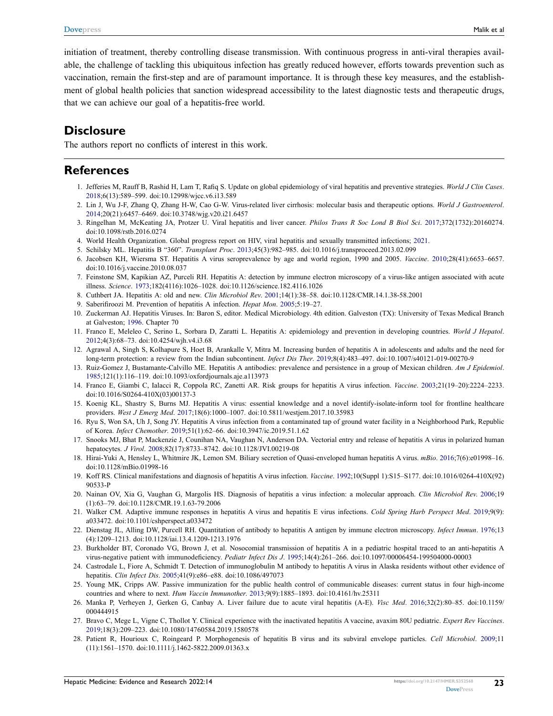<span id="page-11-6"></span>initiation of treatment, thereby controlling disease transmission. With continuous progress in anti-viral therapies available, the challenge of tackling this ubiquitous infection has greatly reduced however, efforts towards prevention such as vaccination, remain the first-step and are of paramount importance. It is through these key measures, and the establishment of global health policies that sanction widespread accessibility to the latest diagnostic tests and therapeutic drugs, that we can achieve our goal of a hepatitis-free world.

### **Disclosure**

The authors report no conflicts of interest in this work.

### **References**

- <span id="page-11-0"></span>1. Jefferies M, Rauff B, Rashid H, Lam T, Rafiq S. Update on global epidemiology of viral hepatitis and preventive strategies. *World J Clin Cases*. [2018](#page-1-1);6(13):589–599. doi:[10.12998/wjcc.v6.i13.589](https://doi.org/10.12998/wjcc.v6.i13.589)
- <span id="page-11-1"></span>2. Lin J, Wu J-F, Zhang Q, Zhang H-W, Cao G-W. Virus-related liver cirrhosis: molecular basis and therapeutic options. *World J Gastroenterol*. [2014](#page-1-2);20(21):6457–6469. doi:[10.3748/wjg.v20.i21.6457](https://doi.org/10.3748/wjg.v20.i21.6457)
- <span id="page-11-2"></span>3. Ringelhan M, McKeating JA, Protzer U. Viral hepatitis and liver cancer. *Philos Trans R Soc Lond B Biol Sci*. [2017;](#page-1-2)372(1732):20160274. doi:[10.1098/rstb.2016.0274](https://doi.org/10.1098/rstb.2016.0274)
- <span id="page-11-3"></span>4. World Health Organization. Global progress report on HIV, viral hepatitis and sexually transmitted infections; [2021](#page-1-3).
- <span id="page-11-4"></span>5. Schilsky ML. Hepatitis B "360". *Transplant Proc*. [2013;](#page-1-3)45(3):982–985. doi:[10.1016/j.transproceed.2013.02.099](https://doi.org/10.1016/j.transproceed.2013.02.099)
- <span id="page-11-5"></span>6. Jacobsen KH, Wiersma ST. Hepatitis A virus seroprevalence by age and world region, 1990 and 2005. *Vaccine*. [2010;](#page-1-4)28(41):6653–6657. doi:[10.1016/j.vaccine.2010.08.037](https://doi.org/10.1016/j.vaccine.2010.08.037)
- <span id="page-11-7"></span>7. Feinstone SM, Kapikian AZ, Purceli RH. Hepatitis A: detection by immune electron microscopy of a virus-like antigen associated with acute illness. *Science*. [1973;](#page-3-0)182(4116):1026–1028. doi:[10.1126/science.182.4116.1026](https://doi.org/10.1126/science.182.4116.1026)
- 8. Cuthbert JA. Hepatitis A: old and new. *Clin Microbiol Rev*. 2001;14(1):38–58. doi:[10.1128/CMR.14.1.38-58.2001](https://doi.org/10.1128/CMR.14.1.38-58.2001)
- <span id="page-11-8"></span>9. Saberifiroozi M. Prevention of hepatitis A infection. *Hepat Mon*. 2005;5:19–27.
- <span id="page-11-9"></span>10. Zuckerman AJ. Hepatitis Viruses. In: Baron S, editor. Medical Microbiology. 4th edition. Galveston (TX): University of Texas Medical Branch at Galveston; [1996](#page-3-1). Chapter 70
- <span id="page-11-10"></span>11. Franco E, Meleleo C, Serino L, Sorbara D, Zaratti L. Hepatitis A: epidemiology and prevention in developing countries. *World J Hepatol*. [2012](#page-3-2);4(3):68–73. doi:[10.4254/wjh.v4.i3.68](https://doi.org/10.4254/wjh.v4.i3.68)
- <span id="page-11-11"></span>12. Agrawal A, Singh S, Kolhapure S, Hoet B, Arankalle V, Mitra M. Increasing burden of hepatitis A in adolescents and adults and the need for long-term protection: a review from the Indian subcontinent. *Infect Dis Ther*. [2019;](#page-3-3)8(4):483–497. doi:[10.1007/s40121-019-00270-9](https://doi.org/10.1007/s40121-019-00270-9)
- <span id="page-11-12"></span>13. Ruiz-Gomez J, Bustamante-Calvillo ME. Hepatitis A antibodies: prevalence and persistence in a group of Mexican children. *Am J Epidemiol*. [1985](#page-3-4);121(1):116–119. doi:[10.1093/oxfordjournals.aje.a113973](https://doi.org/10.1093/oxfordjournals.aje.a113973)
- <span id="page-11-13"></span>14. Franco E, Giambi C, Ialacci R, Coppola RC, Zanetti AR. Risk groups for hepatitis A virus infection. *Vaccine*. [2003;](#page-3-5)21(19–20):2224–2233. doi:[10.1016/S0264-410X\(03\)00137-3](https://doi.org/10.1016/S0264-410X(03)00137-3)
- <span id="page-11-14"></span>15. Koenig KL, Shastry S, Burns MJ. Hepatitis A virus: essential knowledge and a novel identify-isolate-inform tool for frontline healthcare providers. *West J Emerg Med*. [2017;](#page-3-6)18(6):1000–1007. doi:[10.5811/westjem.2017.10.35983](https://doi.org/10.5811/westjem.2017.10.35983)
- <span id="page-11-15"></span>16. Ryu S, Won SA, Uh J, Song JY. Hepatitis A virus infection from a contaminated tap of ground water facility in a Neighborhood Park, Republic of Korea. *Infect Chemother*. [2019;](#page-3-6)51(1):62–66. doi:[10.3947/ic.2019.51.1.62](https://doi.org/10.3947/ic.2019.51.1.62)
- <span id="page-11-16"></span>17. Snooks MJ, Bhat P, Mackenzie J, Counihan NA, Vaughan N, Anderson DA. Vectorial entry and release of hepatitis A virus in polarized human hepatocytes. *J Virol*. [2008](#page-3-7);82(17):8733–8742. doi:[10.1128/JVI.00219-08](https://doi.org/10.1128/JVI.00219-08)
- <span id="page-11-17"></span>18. Hirai-Yuki A, Hensley L, Whitmire JK, Lemon SM. Biliary secretion of Quasi-enveloped human hepatitis A virus. *mBio*. [2016](#page-3-8);7(6):e01998–16. doi:[10.1128/mBio.01998-16](https://doi.org/10.1128/mBio.01998-16)
- <span id="page-11-18"></span>19. Koff RS. Clinical manifestations and diagnosis of hepatitis A virus infection. *Vaccine*. [1992;](#page-3-9)10(Suppl 1):S15–S177. doi:[10.1016/0264-410X\(92\)](https://doi.org/10.1016/0264-410X(92)90533-P) [90533-P](https://doi.org/10.1016/0264-410X(92)90533-P)
- <span id="page-11-19"></span>20. Nainan OV, Xia G, Vaughan G, Margolis HS. Diagnosis of hepatitis a virus infection: a molecular approach. *Clin Microbiol Rev*. [2006](#page-3-9);19 (1):63–79. doi:[10.1128/CMR.19.1.63-79.2006](https://doi.org/10.1128/CMR.19.1.63-79.2006)
- <span id="page-11-20"></span>21. Walker CM. Adaptive immune responses in hepatitis A virus and hepatitis E virus infections. *Cold Spring Harb Perspect Med*. [2019;](#page-3-10)9(9): a033472. doi:[10.1101/cshperspect.a033472](https://doi.org/10.1101/cshperspect.a033472)
- <span id="page-11-21"></span>22. Dienstag JL, Alling DW, Purcell RH. Quantitation of antibody to hepatitis A antigen by immune electron microscopy. *Infect Immun*. [1976](#page-3-0);13 (4):1209–1213. doi:[10.1128/iai.13.4.1209-1213.1976](https://doi.org/10.1128/iai.13.4.1209-1213.1976)
- <span id="page-11-22"></span>23. Burkholder BT, Coronado VG, Brown J, et al. Nosocomial transmission of hepatitis A in a pediatric hospital traced to an anti-hepatitis A virus-negative patient with immunodeficiency. *Pediatr Infect Dis J*. [1995](#page-3-11);14(4):261–266. doi:[10.1097/00006454-199504000-00003](https://doi.org/10.1097/00006454-199504000-00003)
- <span id="page-11-23"></span>24. Castrodale L, Fiore A, Schmidt T. Detection of immunoglobulin M antibody to hepatitis A virus in Alaska residents without other evidence of hepatitis. *Clin Infect Dis*. [2005](#page-3-11);41(9):e86–e88. doi:[10.1086/497073](https://doi.org/10.1086/497073)
- <span id="page-11-24"></span>25. Young MK, Cripps AW. Passive immunization for the public health control of communicable diseases: current status in four high-income countries and where to next. *Hum Vaccin Immunother*. [2013;](#page-3-12)9(9):1885–1893. doi:[10.4161/hv.25311](https://doi.org/10.4161/hv.25311)
- <span id="page-11-25"></span>26. Manka P, Verheyen J, Gerken G, Canbay A. Liver failure due to acute viral hepatitis (A-E). *Visc Med*. [2016](#page-3-12);32(2):80–85. doi:[10.1159/](https://doi.org/10.1159/000444915) [000444915](https://doi.org/10.1159/000444915)
- <span id="page-11-26"></span>27. Bravo C, Mege L, Vigne C, Thollot Y. Clinical experience with the inactivated hepatitis A vaccine, avaxim 80U pediatric. *Expert Rev Vaccines*. [2019](#page-3-13);18(3):209–223. doi:[10.1080/14760584.2019.1580578](https://doi.org/10.1080/14760584.2019.1580578)
- <span id="page-11-27"></span>28. Patient R, Hourioux C, Roingeard P. Morphogenesis of hepatitis B virus and its subviral envelope particles. *Cell Microbiol*. [2009](#page-4-0);11 (11):1561–1570. doi:[10.1111/j.1462-5822.2009.01363.x](https://doi.org/10.1111/j.1462-5822.2009.01363.x)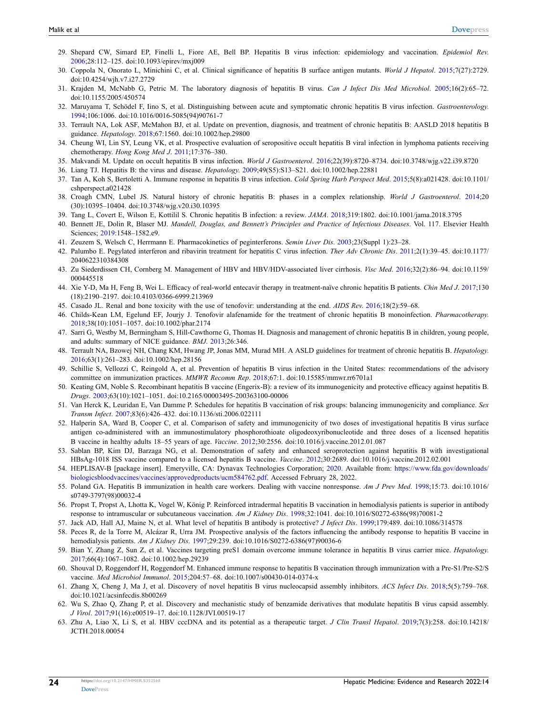- <span id="page-12-0"></span>29. Shepard CW, Simard EP, Finelli L, Fiore AE, Bell BP. Hepatitis B virus infection: epidemiology and vaccination. *Epidemiol Rev*. [2006](#page-4-1);28:112–125. doi:[10.1093/epirev/mxj009](https://doi.org/10.1093/epirev/mxj009)
- <span id="page-12-1"></span>30. Coppola N, Onorato L, Minichini C, et al. Clinical significance of hepatitis B surface antigen mutants. *World J Hepatol*. [2015;](#page-4-2)7(27):2729. doi:[10.4254/wjh.v7.i27.2729](https://doi.org/10.4254/wjh.v7.i27.2729)
- <span id="page-12-2"></span>31. Krajden M, McNabb G, Petric M. The laboratory diagnosis of hepatitis B virus. *Can J Infect Dis Med Microbiol*. [2005;](#page-4-3)16(2):65–72. doi:[10.1155/2005/450574](https://doi.org/10.1155/2005/450574)
- <span id="page-12-3"></span>32. Maruyama T, Schödel F, Iino S, et al. Distinguishing between acute and symptomatic chronic hepatitis B virus infection. *Gastroenterology*. [1994](#page-4-4);106:1006. doi:[10.1016/0016-5085\(94\)90761-7](https://doi.org/10.1016/0016-5085(94)90761-7)
- <span id="page-12-4"></span>33. Terrault NA, Lok ASF, McMahon BJ, et al. Update on prevention, diagnosis, and treatment of chronic hepatitis B: AASLD 2018 hepatitis B guidance. *Hepatology*. [2018](#page-4-5);67:1560. doi:[10.1002/hep.29800](https://doi.org/10.1002/hep.29800)
- <span id="page-12-5"></span>34. Cheung WI, Lin SY, Leung VK, et al. Prospective evaluation of seropositive occult hepatitis B viral infection in lymphoma patients receiving chemotherapy. *Hong Kong Med J*. [2011](#page-4-6);17:376–380.
- <span id="page-12-6"></span>35. Makvandi M. Update on occult hepatitis B virus infection. *World J Gastroenterol*. [2016](#page-5-0);22(39):8720–8734. doi:[10.3748/wjg.v22.i39.8720](https://doi.org/10.3748/wjg.v22.i39.8720)
- <span id="page-12-7"></span>36. Liang TJ. Hepatitis B: the virus and disease. *Hepatology*. [2009](#page-5-1);49(S5):S13–S21. doi:[10.1002/hep.22881](https://doi.org/10.1002/hep.22881)
- <span id="page-12-8"></span>37. Tan A, Koh S, Bertoletti A. Immune response in hepatitis B virus infection. *Cold Spring Harb Perspect Med*. [2015](#page-5-2);5(8):a021428. doi:[10.1101/](https://doi.org/10.1101/cshperspect.a021428) [cshperspect.a021428](https://doi.org/10.1101/cshperspect.a021428)
- <span id="page-12-9"></span>38. Croagh CMN, Lubel JS. Natural history of chronic hepatitis B: phases in a complex relationship. *World J Gastroenterol*. [2014](#page-5-3);20 (30):10395–10404. doi:[10.3748/wjg.v20.i30.10395](https://doi.org/10.3748/wjg.v20.i30.10395)
- <span id="page-12-10"></span>39. Tang L, Covert E, Wilson E, Kottilil S. Chronic hepatitis B infection: a review. *JAMA*. [2018](#page-5-3);319:1802. doi:[10.1001/jama.2018.3795](https://doi.org/10.1001/jama.2018.3795)
- <span id="page-12-11"></span>40. Bennett JE, Dolin R, Blaser MJ. *Mandell, Douglas, and Bennett's Principles and Practice of Infectious Diseases*. Vol. 117. Elsevier Health Sciences; [2019](#page-5-4):1548–1582.e9.
- 41. Zeuzem S, Welsch C, Herrmann E. Pharmacokinetics of peginterferons. *Semin Liver Dis*. 2003;23(Suppl 1):23–28.
- <span id="page-12-12"></span>42. Palumbo E. Pegylated interferon and ribavirin treatment for hepatitis C virus infection. *Ther Adv Chronic Dis*. [2011;](#page-6-0)2(1):39–45. doi:[10.1177/](https://doi.org/10.1177/2040622310384308) [2040622310384308](https://doi.org/10.1177/2040622310384308)
- <span id="page-12-13"></span>43. Zu Siederdissen CH, Cornberg M. Management of HBV and HBV/HDV-associated liver cirrhosis. *Visc Med*. [2016;](#page-5-5)32(2):86–94. doi:[10.1159/](https://doi.org/10.1159/000445518) [000445518](https://doi.org/10.1159/000445518)
- <span id="page-12-14"></span>44. Xie Y-D, Ma H, Feng B, Wei L. Efficacy of real-world entecavir therapy in treatment-naïve chronic hepatitis B patients. *Chin Med J*. [2017](#page-6-1);130 (18):2190–2197. doi:[10.4103/0366-6999.213969](https://doi.org/10.4103/0366-6999.213969)
- <span id="page-12-15"></span>45. Casado JL. Renal and bone toxicity with the use of tenofovir: understanding at the end. *AIDS Rev*. [2016](#page-6-2);18(2):59–68.
- <span id="page-12-16"></span>46. Childs-Kean LM, Egelund EF, Jourjy J. Tenofovir alafenamide for the treatment of chronic hepatitis B monoinfection. *Pharmacotherapy*. [2018](#page-6-2);38(10):1051–1057. doi:[10.1002/phar.2174](https://doi.org/10.1002/phar.2174)
- <span id="page-12-17"></span>47. Sarri G, Westby M, Bermingham S, Hill-Cawthorne G, Thomas H. Diagnosis and management of chronic hepatitis B in children, young people, and adults: summary of NICE guidance. *BMJ*. [2013;](#page-6-3)26:346.
- <span id="page-12-18"></span>48. Terrault NA, Bzowej NH, Chang KM, Hwang JP, Jonas MM, Murad MH. A ASLD guidelines for treatment of chronic hepatitis B. *Hepatology*. [2016](#page-6-4);63(1):261–283. doi:[10.1002/hep.28156](https://doi.org/10.1002/hep.28156)
- <span id="page-12-19"></span>49. Schillie S, Vellozzi C, Reingold A, et al. Prevention of hepatitis B virus infection in the United States: recommendations of the advisory committee on immunization practices. *MMWR Recomm Rep*. [2018](#page-6-5);67:1. doi:[10.15585/mmwr.rr6701a1](https://doi.org/10.15585/mmwr.rr6701a1)
- <span id="page-12-20"></span>50. Keating GM, Noble S. Recombinant hepatitis B vaccine (Engerix-B): a review of its immunogenicity and protective efficacy against hepatitis B. *Drugs*. [2003](#page-6-6);63(10):1021–1051. doi:[10.2165/00003495-200363100-00006](https://doi.org/10.2165/00003495-200363100-00006)
- <span id="page-12-21"></span>51. Van Herck K, Leuridan E, Van Damme P. Schedules for hepatitis B vaccination of risk groups: balancing immunogenicity and compliance. *Sex Transm Infect*. [2007;](#page-6-6)83(6):426–432. doi:[10.1136/sti.2006.022111](https://doi.org/10.1136/sti.2006.022111)
- <span id="page-12-22"></span>52. Halperin SA, Ward B, Cooper C, et al. Comparison of safety and immunogenicity of two doses of investigational hepatitis B virus surface antigen co-administered with an immunostimulatory phosphorothioate oligodeoxyribonucleotide and three doses of a licensed hepatitis B vaccine in healthy adults 18–55 years of age. *Vaccine*. [2012](#page-6-7);30:2556. doi:[10.1016/j.vaccine.2012.01.087](https://doi.org/10.1016/j.vaccine.2012.01.087)
- <span id="page-12-23"></span>53. Sablan BP, Kim DJ, Barzaga NG, et al. Demonstration of safety and enhanced seroprotection against hepatitis B with investigational HBsAg-1018 ISS vaccine compared to a licensed hepatitis B vaccine. *Vaccine*. [2012](#page-6-8);30:2689. doi:[10.1016/j.vaccine.2012.02.001](https://doi.org/10.1016/j.vaccine.2012.02.001)
- <span id="page-12-24"></span>54. HEPLISAV-B [package insert]. Emeryville, CA: Dynavax Technologies Corporation; [2020.](#page-6-8) Available from: [https://www.fda.gov/downloads/](https://www.fda.gov/downloads/biologicsbloodvaccines/vaccines/approvedproducts/ucm584762.pdf) [biologicsbloodvaccines/vaccines/approvedproducts/ucm584762.pdf](https://www.fda.gov/downloads/biologicsbloodvaccines/vaccines/approvedproducts/ucm584762.pdf). Accessed February 28, 2022.
- <span id="page-12-25"></span>55. Poland GA. Hepatitis B immunization in health care workers. Dealing with vaccine nonresponse. *Am J Prev Med*. [1998](#page-6-9);15:73. doi:[10.1016/](https://doi.org/10.1016/s0749-3797(98)00032-4) [s0749-3797\(98\)00032-4](https://doi.org/10.1016/s0749-3797(98)00032-4)
- <span id="page-12-26"></span>56. Propst T, Propst A, Lhotta K, Vogel W, König P. Reinforced intradermal hepatitis B vaccination in hemodialysis patients is superior in antibody response to intramuscular or subcutaneous vaccination. *Am J Kidney Dis*. [1998;](#page-6-10)32:1041. doi:[10.1016/S0272-6386\(98\)70081-2](https://doi.org/10.1016/S0272-6386(98)70081-2)
- <span id="page-12-27"></span>57. Jack AD, Hall AJ, Maine N, et al. What level of hepatitis B antibody is protective? *J Infect Dis*. [1999](#page-6-11);179:489. doi:[10.1086/314578](https://doi.org/10.1086/314578)
- <span id="page-12-28"></span>58. Peces R, de la Torre M, Alcázar R, Urra JM. Prospective analysis of the factors influencing the antibody response to hepatitis B vaccine in hemodialysis patients. *Am J Kidney Dis*. [1997](#page-6-12);29:239. doi:[10.1016/S0272-6386\(97\)90036-6](https://doi.org/10.1016/S0272-6386(97)90036-6)
- <span id="page-12-29"></span>59. Bian Y, Zhang Z, Sun Z, et al. Vaccines targeting preS1 domain overcome immune tolerance in hepatitis B virus carrier mice. *Hepatology*. [2017](#page-7-0);66(4):1067–1082. doi:[10.1002/hep.29239](https://doi.org/10.1002/hep.29239)
- <span id="page-12-30"></span>60. Shouval D, Roggendorf H, Roggendorf M. Enhanced immune response to hepatitis B vaccination through immunization with a Pre-S1/Pre-S2/S vaccine. *Med Microbiol Immunol*. [2015;](#page-7-1)204:57–68. doi:[10.1007/s00430-014-0374-x](https://doi.org/10.1007/s00430-014-0374-x)
- <span id="page-12-31"></span>61. Zhang X, Cheng J, Ma J, et al. Discovery of novel hepatitis B virus nucleocapsid assembly inhibitors. *ACS Infect Dis*. [2018;](#page-7-2)5(5):759–768. doi:[10.1021/acsinfecdis.8b00269](https://doi.org/10.1021/acsinfecdis.8b00269)
- <span id="page-12-32"></span>62. Wu S, Zhao Q, Zhang P, et al. Discovery and mechanistic study of benzamide derivatives that modulate hepatitis B virus capsid assembly. *J Virol*. [2017;](#page-7-2)91(16):e00519–17. doi:[10.1128/JVI.00519-17](https://doi.org/10.1128/JVI.00519-17)
- <span id="page-12-33"></span>63. Zhu A, Liao X, Li S, et al. HBV cccDNA and its potential as a therapeutic target. *J Clin Transl Hepatol*. [2019](#page-7-3);7(3):258. doi:[10.14218/](https://doi.org/10.14218/JCTH.2018.00054) [JCTH.2018.00054](https://doi.org/10.14218/JCTH.2018.00054)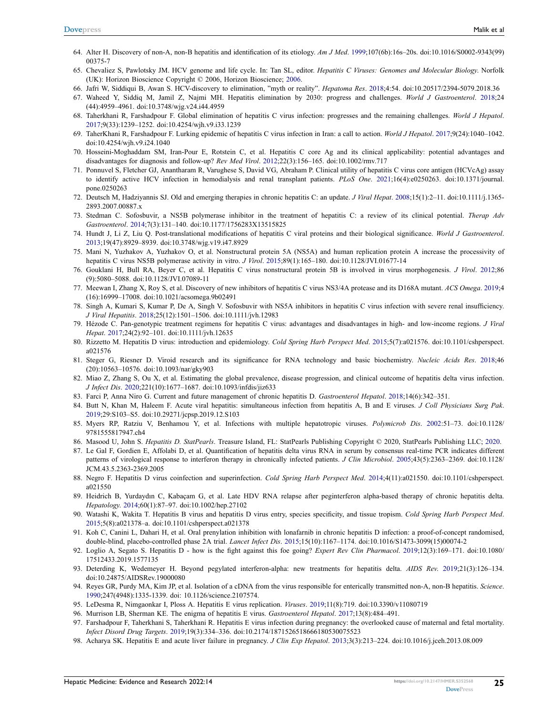- <span id="page-13-2"></span>64. Alter H. Discovery of non-A, non-B hepatitis and identification of its etiology. *Am J Med*. [1999](#page-7-4);107(6b):16s–20s. doi:[10.1016/S0002-9343\(99\)](https://doi.org/10.1016/S0002-9343(99)00375-7) [00375-7](https://doi.org/10.1016/S0002-9343(99)00375-7)
- <span id="page-13-3"></span><span id="page-13-1"></span><span id="page-13-0"></span>65. Chevaliez S, Pawlotsky JM. HCV genome and life cycle. In: Tan SL, editor. *Hepatitis C Viruses: Genomes and Molecular Biology*. Norfolk (UK): Horizon Bioscience Copyright © 2006, Horizon Bioscience; [2006.](#page-8-0)
- <span id="page-13-4"></span>66. Jafri W, Siddiqui B, Awan S. HCV-discovery to elimination, "myth or reality". *Hepatoma Res*. [2018;](#page-8-1)4:54. doi:[10.20517/2394-5079.2018.36](https://doi.org/10.20517/2394-5079.2018.36)
- <span id="page-13-5"></span>67. Waheed Y, Siddiq M, Jamil Z, Najmi MH. Hepatitis elimination by 2030: progress and challenges. *World J Gastroenterol*. [2018](#page-8-1);24 (44):4959–4961. doi:[10.3748/wjg.v24.i44.4959](https://doi.org/10.3748/wjg.v24.i44.4959)
- <span id="page-13-6"></span>68. Taherkhani R, Farshadpour F. Global elimination of hepatitis C virus infection: progresses and the remaining challenges. *World J Hepatol*. [2017](#page-8-2);9(33):1239–1252. doi:[10.4254/wjh.v9.i33.1239](https://doi.org/10.4254/wjh.v9.i33.1239)
- <span id="page-13-7"></span>69. TaherKhani R, Farshadpour F. Lurking epidemic of hepatitis C virus infection in Iran: a call to action. *World J Hepatol*. [2017;](#page-8-2)9(24):1040–1042. doi:[10.4254/wjh.v9.i24.1040](https://doi.org/10.4254/wjh.v9.i24.1040)
- <span id="page-13-8"></span>70. Hosseini-Moghaddam SM, Iran-Pour E, Rotstein C, et al. Hepatitis C core Ag and its clinical applicability: potential advantages and disadvantages for diagnosis and follow-up? *Rev Med Virol*. [2012](#page-8-3);22(3):156–165. doi:[10.1002/rmv.717](https://doi.org/10.1002/rmv.717)
- <span id="page-13-9"></span>71. Ponnuvel S, Fletcher GJ, Anantharam R, Varughese S, David VG, Abraham P. Clinical utility of hepatitis C virus core antigen (HCVcAg) assay to identify active HCV infection in hemodialysis and renal transplant patients. *PLoS One*. [2021](#page-8-3);16(4):e0250263. doi:[10.1371/journal.](https://doi.org/10.1371/journal.pone.0250263) [pone.0250263](https://doi.org/10.1371/journal.pone.0250263)
- <span id="page-13-10"></span>72. Deutsch M, Hadziyannis SJ. Old and emerging therapies in chronic hepatitis C: an update. *J Viral Hepat*. [2008;](#page-8-4)15(1):2–11. doi:[10.1111/j.1365-](https://doi.org/10.1111/j.1365-2893.2007.00887.x) [2893.2007.00887.x](https://doi.org/10.1111/j.1365-2893.2007.00887.x)
- <span id="page-13-11"></span>73. Stedman C. Sofosbuvir, a NS5B polymerase inhibitor in the treatment of hepatitis C: a review of its clinical potential. *Therap Adv Gastroenterol*. [2014](#page-8-5);7(3):131–140. doi:[10.1177/1756283X13515825](https://doi.org/10.1177/1756283X13515825)
- <span id="page-13-12"></span>74. Hundt J, Li Z, Liu Q. Post-translational modifications of hepatitis C viral proteins and their biological significance. *World J Gastroenterol*. [2013](#page-8-6);19(47):8929–8939. doi:[10.3748/wjg.v19.i47.8929](https://doi.org/10.3748/wjg.v19.i47.8929)
- <span id="page-13-13"></span>75. Mani N, Yuzhakov A, Yuzhakov O, et al. Nonstructural protein 5A (NS5A) and human replication protein A increase the processivity of hepatitis C virus NS5B polymerase activity in vitro. *J Virol*. [2015](#page-8-7);89(1):165–180. doi:[10.1128/JVI.01677-14](https://doi.org/10.1128/JVI.01677-14)
- <span id="page-13-14"></span>76. Gouklani H, Bull RA, Beyer C, et al. Hepatitis C virus nonstructural protein 5B is involved in virus morphogenesis. *J Virol*. [2012](#page-8-8);86 (9):5080–5088. doi:[10.1128/JVI.07089-11](https://doi.org/10.1128/JVI.07089-11)
- <span id="page-13-15"></span>77. Meewan I, Zhang X, Roy S, et al. Discovery of new inhibitors of hepatitis C virus NS3/4A protease and its D168A mutant. *ACS Omega*. [2019](#page-8-9);4 (16):16999–17008. doi:[10.1021/acsomega.9b02491](https://doi.org/10.1021/acsomega.9b02491)
- <span id="page-13-16"></span>78. Singh A, Kumari S, Kumar P, De A, Singh V. Sofosbuvir with NS5A inhibitors in hepatitis C virus infection with severe renal insufficiency. *J Viral Hepatitis*. [2018](#page-8-10);25(12):1501–1506. doi:[10.1111/jvh.12983](https://doi.org/10.1111/jvh.12983)
- <span id="page-13-17"></span>79. Hézode C. Pan-genotypic treatment regimens for hepatitis C virus: advantages and disadvantages in high- and low-income regions. *J Viral Hepat*. [2017;](#page-8-11)24(2):92–101. doi:[10.1111/jvh.12635](https://doi.org/10.1111/jvh.12635)
- <span id="page-13-18"></span>80. Rizzetto M. Hepatitis D virus: introduction and epidemiology. *Cold Spring Harb Perspect Med*. [2015;](#page-9-0)5(7):a021576. doi:[10.1101/cshperspect.](https://doi.org/10.1101/cshperspect.a021576) [a021576](https://doi.org/10.1101/cshperspect.a021576)
- <span id="page-13-19"></span>81. Steger G, Riesner D. Viroid research and its significance for RNA technology and basic biochemistry. *Nucleic Acids Res*. [2018](#page-9-0);46 (20):10563–10576. doi:[10.1093/nar/gky903](https://doi.org/10.1093/nar/gky903)
- <span id="page-13-20"></span>82. Miao Z, Zhang S, Ou X, et al. Estimating the global prevalence, disease progression, and clinical outcome of hepatitis delta virus infection. *J Infect Dis*. [2020](#page-2-1);221(10):1677–1687. doi:[10.1093/infdis/jiz633](https://doi.org/10.1093/infdis/jiz633)
- <span id="page-13-21"></span>83. Farci P, Anna Niro G. Current and future management of chronic hepatitis D. *Gastroenterol Hepatol*. [2018](#page-9-1);14(6):342–351.
- <span id="page-13-22"></span>84. Butt N, Khan M, Haleem F. Acute viral hepatitis: simultaneous infection from hepatitis A, B and E viruses. *J Coll Physicians Surg Pak*. [2019](#page-9-2);29:S103–S5. doi:[10.29271/jcpsp.2019.12.S103](https://doi.org/10.29271/jcpsp.2019.12.S103)
- <span id="page-13-23"></span>85. Myers RP, Ratziu V, Benhamou Y, et al. Infections with multiple hepatotropic viruses. *Polymicrob Dis*. [2002:](#page-9-3)51–73. doi:[10.1128/](https://doi.org/10.1128/9781555817947.ch4) [9781555817947.ch4](https://doi.org/10.1128/9781555817947.ch4)
- <span id="page-13-24"></span>86. Masood U, John S. *Hepatitis D. StatPearls*. Treasure Island, FL: StatPearls Publishing Copyright © 2020, StatPearls Publishing LLC; [2020.](#page-9-4)
- <span id="page-13-25"></span>87. Le Gal F, Gordien E, Affolabi D, et al. Quantification of hepatitis delta virus RNA in serum by consensus real-time PCR indicates different patterns of virological response to interferon therapy in chronically infected patients. *J Clin Microbiol*. [2005](#page-9-5);43(5):2363–2369. doi:[10.1128/](https://doi.org/10.1128/JCM.43.5.2363-2369.2005) [JCM.43.5.2363-2369.2005](https://doi.org/10.1128/JCM.43.5.2363-2369.2005)
- <span id="page-13-26"></span>88. Negro F. Hepatitis D virus coinfection and superinfection. *Cold Spring Harb Perspect Med*. [2014](#page-9-5);4(11):a021550. doi:[10.1101/cshperspect.](https://doi.org/10.1101/cshperspect.a021550) [a021550](https://doi.org/10.1101/cshperspect.a021550)
- <span id="page-13-27"></span>89. Heidrich B, Yurdaydın C, Kabaçam G, et al. Late HDV RNA relapse after peginterferon alpha-based therapy of chronic hepatitis delta. *Hepatology*. [2014;](#page-9-6)60(1):87–97. doi:[10.1002/hep.27102](https://doi.org/10.1002/hep.27102)
- <span id="page-13-28"></span>90. Watashi K, Wakita T. Hepatitis B virus and hepatitis D virus entry, species specificity, and tissue tropism. *Cold Spring Harb Perspect Med*. [2015](#page-9-7);5(8):a021378–a. doi:[10.1101/cshperspect.a021378](https://doi.org/10.1101/cshperspect.a021378)
- <span id="page-13-29"></span>91. Koh C, Canini L, Dahari H, et al. Oral prenylation inhibition with lonafarnib in chronic hepatitis D infection: a proof-of-concept randomised, double-blind, placebo-controlled phase 2A trial. *Lancet Infect Dis*. [2015](#page-9-8);15(10):1167–1174. doi:[10.1016/S1473-3099\(15\)00074-2](https://doi.org/10.1016/S1473-3099(15)00074-2)
- <span id="page-13-30"></span>92. Loglio A, Segato S. Hepatitis D - how is the fight against this foe going? *Expert Rev Clin Pharmacol*. [2019;](#page-9-8)12(3):169–171. doi:[10.1080/](https://doi.org/10.1080/17512433.2019.1577135) [17512433.2019.1577135](https://doi.org/10.1080/17512433.2019.1577135)
- <span id="page-13-31"></span>93. Deterding K, Wedemeyer H. Beyond pegylated interferon-alpha: new treatments for hepatitis delta. *AIDS Rev*. [2019;](#page-9-9)21(3):126–134. doi:[10.24875/AIDSRev.19000080](https://doi.org/10.24875/AIDSRev.19000080)
- <span id="page-13-32"></span>94. Reyes GR, Purdy MA, Kim JP, et al. Isolation of a cDNA from the virus responsible for enterically transmitted non-A, non-B hepatitis. *Science*. [1990](#page-10-0);247(4948):1335-1339. doi: [10.1126/science.2107574](https://doi.org/10.1126/science.2107574).
- <span id="page-13-33"></span>95. LeDesma R, Nimgaonkar I, Ploss A. Hepatitis E virus replication. *Viruses*. [2019](#page-10-1);11(8):719. doi:[10.3390/v11080719](https://doi.org/10.3390/v11080719)
- <span id="page-13-34"></span>96. Murrison LB, Sherman KE. The enigma of hepatitis E virus. *Gastroenterol Hepatol*. [2017;](#page-2-2)13(8):484–491.
- <span id="page-13-35"></span>97. Farshadpour F, Taherkhani S, Taherkhani R. Hepatitis E virus infection during pregnancy: the overlooked cause of maternal and fetal mortality. *Infect Disord Drug Targets*. [2019;](#page-10-2)19(3):334–336. doi:[10.2174/1871526518666180530075523](https://doi.org/10.2174/1871526518666180530075523)
- <span id="page-13-36"></span>98. Acharya SK. Hepatitis E and acute liver failure in pregnancy. *J Clin Exp Hepatol*. [2013;](#page-10-2)3(3):213–224. doi:[10.1016/j.jceh.2013.08.009](https://doi.org/10.1016/j.jceh.2013.08.009)